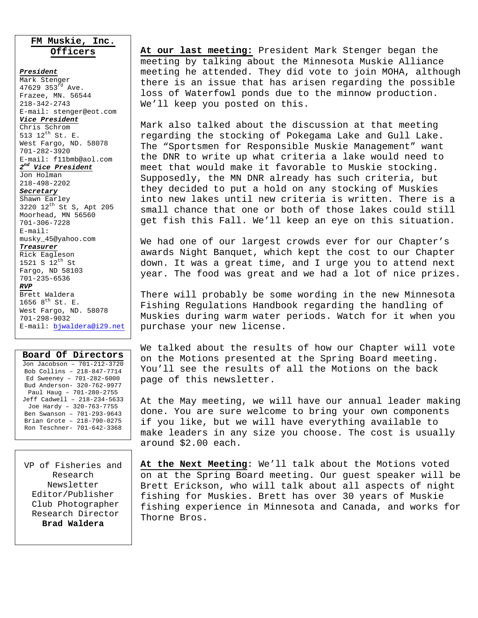#### **FM Muskie, Inc. Officers**

*President* Mark Stenger 47629 353rd Ave. Frazee, MN. 56544 218-342-2743 E-mail: stenger@eot.com *Vice President* Chris Schrom 513 12th St. E. West Fargo, ND. 58078 701-282-3920 E-mail: f11bmb@aol.com *2nd Vice President* Jon Holman 218-498-2202 *Secretary* Shawn Earley 3220 12<sup>th</sup> St S, Apt 205 Moorhead, MN 56560 701-306-7228 E-mail: musky\_45@yahoo.com *Treasurer* Rick Eagleson 1521 S  $12^{th}$  St Fargo, ND 58103 701-235-6536 *RVP* Brett Waldera 1656  $8^{th}$  St. E. West Fargo, ND. 58078 701-298-9032 E-mail: bjwaldera@i29.net

| Board Of Directors          |
|-----------------------------|
| Jon Jacobson - 701-212-3720 |
| Bob Collins - 218-847-7714  |
| Ed Sweeney - 701-282-6000   |
| Bud Anderson- 320-762-9977  |
| Paul Haug - 701-280-2755    |
| Jeff Cadwell - 218-234-5633 |
| Joe Hardy - 320-763-7755    |
| Ben Swanson - 701-293-9643  |
| Brian Grote - 218-790-0275  |
| Ron Teschner- 701-642-3368  |

VP of Fisheries and Research Newsletter Editor/Publisher Club Photographer Research Director **Brad Waldera** 

**At our last meeting:** President Mark Stenger began the meeting by talking about the Minnesota Muskie Alliance meeting he attended. They did vote to join MOHA, although there is an issue that has arisen regarding the possible loss of Waterfowl ponds due to the minnow production. We'll keep you posted on this.

Mark also talked about the discussion at that meeting regarding the stocking of Pokegama Lake and Gull Lake. The "Sportsmen for Responsible Muskie Management" want the DNR to write up what criteria a lake would need to meet that would make it favorable to Muskie stocking. Supposedly, the MN DNR already has such criteria, but they decided to put a hold on any stocking of Muskies into new lakes until new criteria is written. There is a small chance that one or both of those lakes could still get fish this Fall. We'll keep an eye on this situation.

We had one of our largest crowds ever for our Chapter's awards Night Banquet, which kept the cost to our Chapter down. It was a great time, and I urge you to attend next year. The food was great and we had a lot of nice prizes.

There will probably be some wording in the new Minnesota Fishing Regulations Handbook regarding the handling of Muskies during warm water periods. Watch for it when you purchase your new license.

We talked about the results of how our Chapter will vote on the Motions presented at the Spring Board meeting. You'll see the results of all the Motions on the back page of this newsletter.

At the May meeting, we will have our annual leader making done. You are sure welcome to bring your own components if you like, but we will have everything available to make leaders in any size you choose. The cost is usually around \$2.00 each.

**At the Next Meeting**: We'll talk about the Motions voted on at the Spring Board meeting. Our guest speaker will be Brett Erickson, who will talk about all aspects of night fishing for Muskies. Brett has over 30 years of Muskie fishing experience in Minnesota and Canada, and works for Thorne Bros.